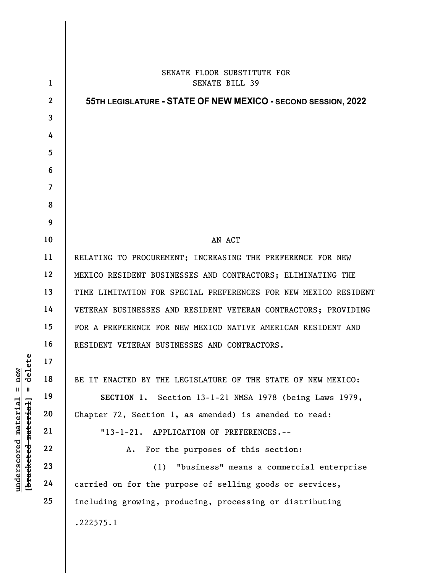|                                     | $\mathbf{1}$   | SENATE FLOOR SUBSTITUTE FOR<br><b>SENATE BILL 39</b>            |
|-------------------------------------|----------------|-----------------------------------------------------------------|
|                                     | $\mathbf{2}$   | 55TH LEGISLATURE - STATE OF NEW MEXICO - SECOND SESSION, 2022   |
|                                     | $\mathbf{3}$   |                                                                 |
|                                     | 4              |                                                                 |
|                                     | 5              |                                                                 |
|                                     | 6              |                                                                 |
|                                     | $\overline{7}$ |                                                                 |
|                                     | 8              |                                                                 |
|                                     | 9              |                                                                 |
|                                     | 10             | AN ACT                                                          |
|                                     | 11             | RELATING TO PROCUREMENT; INCREASING THE PREFERENCE FOR NEW      |
|                                     | 12             | MEXICO RESIDENT BUSINESSES AND CONTRACTORS; ELIMINATING THE     |
|                                     | 13             | TIME LIMITATION FOR SPECIAL PREFERENCES FOR NEW MEXICO RESIDENT |
|                                     | 14             | VETERAN BUSINESSES AND RESIDENT VETERAN CONTRACTORS; PROVIDING  |
|                                     | 15             | FOR A PREFERENCE FOR NEW MEXICO NATIVE AMERICAN RESIDENT AND    |
|                                     | 16             | RESIDENT VETERAN BUSINESSES AND CONTRACTORS.                    |
| elete                               | 17             |                                                                 |
| <b>e</b><br>Ē<br>ರ                  | 18             | BE IT ENACTED BY THE LEGISLATURE OF THE STATE OF NEW MEXICO:    |
| $\mathsf{II}$<br>Ш                  | 19             | SECTION 1. Section 13-1-21 NMSA 1978 (being Laws 1979,          |
| <u>material</u>                     | 20             | Chapter 72, Section 1, as amended) is amended to read:          |
|                                     | 21             | APPLICATION OF PREFERENCES.--<br>$"13-1-21.$                    |
|                                     | 22             | For the purposes of this section:<br>Α.                         |
|                                     | 23             | "business" means a commercial enterprise<br>(1)                 |
| [bracketed material]<br>underscored | 24             | carried on for the purpose of selling goods or services,        |
|                                     | 25             | including growing, producing, processing or distributing        |
|                                     |                | .222575.1                                                       |
|                                     |                |                                                                 |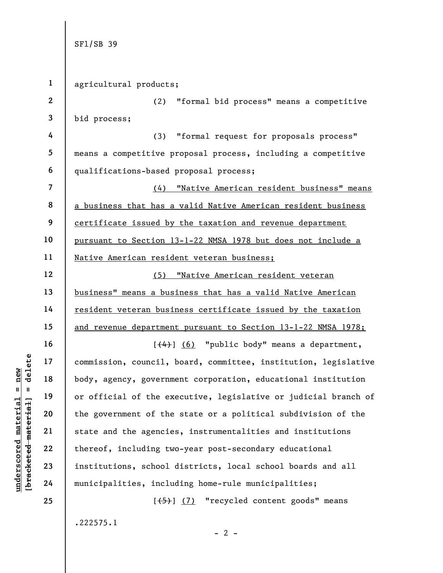1 agricultural products;

2 3 (2) "formal bid process" means a competitive bid process;

4 5 6 (3) "formal request for proposals process" means a competitive proposal process, including a competitive qualifications-based proposal process;

7 8 9 10 11 (4) "Native American resident business" means a business that has a valid Native American resident business certificate issued by the taxation and revenue department pursuant to Section 13-1-22 NMSA 1978 but does not include a Native American resident veteran business;

12 13 14 15 (5) "Native American resident veteran business" means a business that has a valid Native American resident veteran business certificate issued by the taxation and revenue department pursuant to Section 13-1-22 NMSA 1978;

underscore of the government of the<br>detailed material in the extended material of the extended material of the extended material of the extended material of the extended material of the sovernment of the state and the agen  $[$ (4)]  $(6)$  "public body" means a department, commission, council, board, committee, institution, legislative body, agency, government corporation, educational institution or official of the executive, legislative or judicial branch of the government of the state or a political subdivision of the state and the agencies, instrumentalities and institutions thereof, including two-year post-secondary educational institutions, school districts, local school boards and all municipalities, including home-rule municipalities;

> $[\frac{1}{5}]$  (7) "recycled content goods" means .222575.1

> > $- 2 -$

16

17

18

19

20

21

22

23

24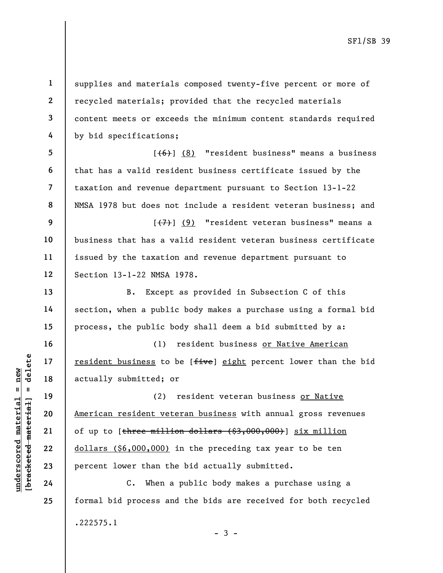1

2

3

4

13

14

15

16

17

18

19

20

21

22

23

24

25

supplies and materials composed twenty-five percent or more of recycled materials; provided that the recycled materials content meets or exceeds the minimum content standards required by bid specifications;

5 6 7 8  $[\frac{1}{6}]$  (8) "resident business" means a business that has a valid resident business certificate issued by the taxation and revenue department pursuant to Section 13-1-22 NMSA 1978 but does not include a resident veteran business; and

9 10 11 12  $[\overline{(7)}]$  (9) "resident veteran business" means a business that has a valid resident veteran business certificate issued by the taxation and revenue department pursuant to Section 13-1-22 NMSA 1978.

B. Except as provided in Subsection C of this section, when a public body makes a purchase using a formal bid process, the public body shall deem a bid submitted by a:

(1) resident business or Native American resident business to be [five] eight percent lower than the bid actually submitted; or

under 17<br>
under 18<br>
19<br>
19<br>
19<br>
19<br>
19<br>
19<br>
20<br>
21<br>
22<br>
23<br>
24<br>
24<br>
24<br>
24<br>
20<br>
24<br>
24<br>
24<br>
24<br>
20<br>
24<br>
24<br>
24<br>
24<br>
20<br>
24<br>
24<br>
24<br>
24<br>
24<br>
24<br>
24<br>
24<br>
20<br>
24<br>
24<br>
24<br>
24<br>
24<br>
24<br>
24<br>
24<br>
20<br>
24<br>
24<br>
24<br>
24<br>
20<br>
24<br>
20<br>
24 (2) resident veteran business or Native American resident veteran business with annual gross revenues of up to  $[\frac{\text{there}}{\text{million}}]$  dollars  $(\frac{53}{1000}, 000)$  six million dollars (\$6,000,000) in the preceding tax year to be ten percent lower than the bid actually submitted.

C. When a public body makes a purchase using a formal bid process and the bids are received for both recycled .222575.1

 $-3 -$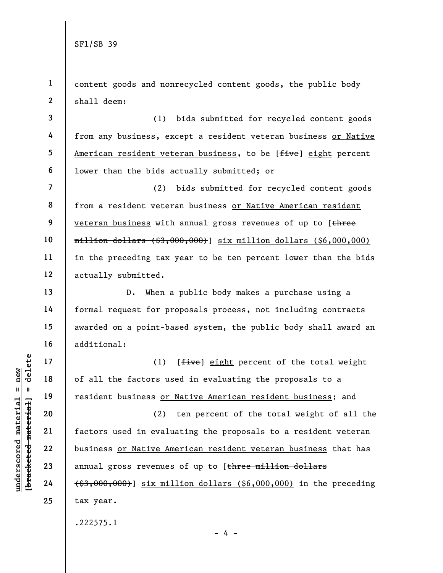1 2 content goods and nonrecycled content goods, the public body shall deem:

3 4 5 6 (1) bids submitted for recycled content goods from any business, except a resident veteran business or Native American resident veteran business, to be [five] eight percent lower than the bids actually submitted; or

7 8 9 10 11 12 (2) bids submitted for recycled content goods from a resident veteran business or Native American resident veteran business with annual gross revenues of up to [three  $~~million dollars~~ (83,000,000) six million dollars (86,000,000)$ </del> in the preceding tax year to be ten percent lower than the bids actually submitted.

D. When a public body makes a purchase using a formal request for proposals process, not including contracts awarded on a point-based system, the public body shall award an additional:

(1) [*five*] eight percent of the total weight of all the factors used in evaluating the proposals to a resident business or Native American resident business; and

underscores and the factors is<br>  $\begin{array}{c|c|c|c} \hline \text{u} & \text{u} & \text{u} & \text{u} & \text{u} \\ \hline \text{u} & \text{u} & \text{u} & \text{u} & \text{u} \\ \hline \text{u} & \text{u} & \text{u} & \text{u} & \text{u} \\ \hline \text{u} & \text{u} & \text{u} & \text{u} & \text{u} \\ \hline \text{u} & \text{u} & \text{u} & \text{u} & \text{u} \\ \hline \text{u} & \text$ (2) ten percent of the total weight of all the factors used in evaluating the proposals to a resident veteran business or Native American resident veteran business that has annual gross revenues of up to [three million dollars (\$3,000,000)] six million dollars (\$6,000,000) in the preceding tax year.

- 4 -

.222575.1

13

14

15

16

17

18

19

20

21

22

23

24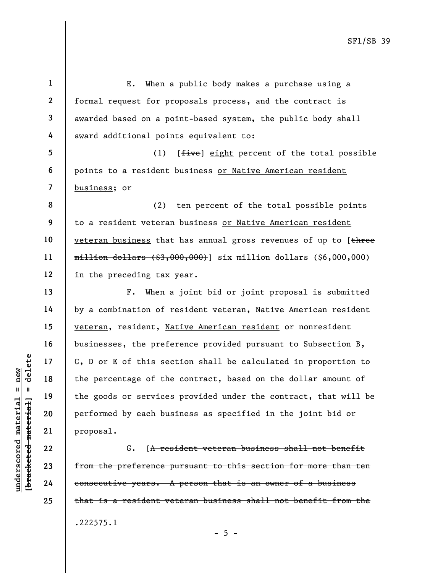understand material material extending the percentage of the<br>
extended material of the spoods or services<br>
performed by each bus<br>
performed by each bus<br>
performed by each bus<br>
proposal.<br>
C. [<del>A res</del><br>
extended materials of 1 2 3 4 5 6 7 8 9 10 11 12 13 14 15 16 17 18 19 20 21 E. When a public body makes a purchase using a formal request for proposals process, and the contract is awarded based on a point-based system, the public body shall award additional points equivalent to: (1) [*five*] eight percent of the total possible points to a resident business or Native American resident business; or (2) ten percent of the total possible points to a resident veteran business or Native American resident veteran business that has annual gross revenues of up to [three million dollars (\$3,000,000)] six million dollars (\$6,000,000) in the preceding tax year. F. When a joint bid or joint proposal is submitted by a combination of resident veteran, Native American resident veteran, resident, Native American resident or nonresident businesses, the preference provided pursuant to Subsection B, C, D or E of this section shall be calculated in proportion to the percentage of the contract, based on the dollar amount of the goods or services provided under the contract, that will be performed by each business as specified in the joint bid or proposal.

G. [A resident veteran business shall not benefit from the preference pursuant to this section for more than ten consecutive years. A person that is an owner of a business that is a resident veteran business shall not benefit from the .222575.1

 $- 5 -$ 

22 23

24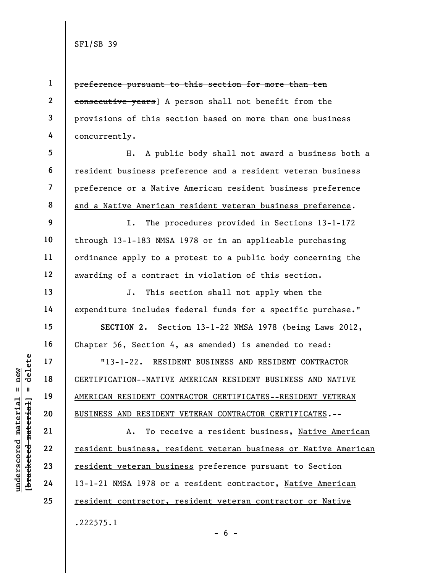2 3

4

9

10

11

12

13

14

15

16

17

18

19

20

21

22

23

24

25

1

preference pursuant to this section for more than ten consecutive years] A person shall not benefit from the provisions of this section based on more than one business concurrently.

5 6 7 8 H. A public body shall not award a business both a resident business preference and a resident veteran business preference or a Native American resident business preference and a Native American resident veteran business preference.

I. The procedures provided in Sections 13-1-172 through 13-1-183 NMSA 1978 or in an applicable purchasing ordinance apply to a protest to a public body concerning the awarding of a contract in violation of this section.

J. This section shall not apply when the expenditure includes federal funds for a specific purchase."

SECTION 2. Section 13-1-22 NMSA 1978 (being Laws 2012, Chapter 56, Section 4, as amended) is amended to read:

"13-1-22. RESIDENT BUSINESS AND RESIDENT CONTRACTOR CERTIFICATION--NATIVE AMERICAN RESIDENT BUSINESS AND NATIVE AMERICAN RESIDENT CONTRACTOR CERTIFICATES--RESIDENT VETERAN BUSINESS AND RESIDENT VETERAN CONTRACTOR CERTIFICATES.--

underscored material = new [bracketed material] = delete A. To receive a resident business, Native American resident business, resident veteran business or Native American resident veteran business preference pursuant to Section 13-1-21 NMSA 1978 or a resident contractor, Native American resident contractor, resident veteran contractor or Native .222575.1

 $- 6 -$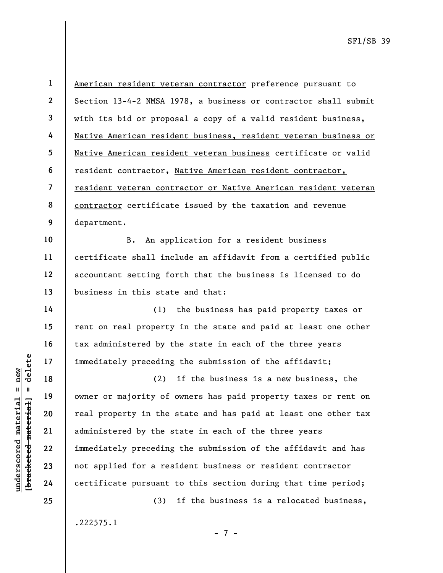1 2 3 4 5 6 7 8 9 American resident veteran contractor preference pursuant to Section 13-4-2 NMSA 1978, a business or contractor shall submit with its bid or proposal a copy of a valid resident business, Native American resident business, resident veteran business or Native American resident veteran business certificate or valid resident contractor, Native American resident contractor, resident veteran contractor or Native American resident veteran contractor certificate issued by the taxation and revenue department.

10 11 12 13 B. An application for a resident business certificate shall include an affidavit from a certified public accountant setting forth that the business is licensed to do business in this state and that:

(1) the business has paid property taxes or rent on real property in the state and paid at least one other tax administered by the state in each of the three years immediately preceding the submission of the affidavit;

understand material mediately preceding<br>  $\begin{array}{c|c|c|c} \text{u} & \text{u} & \text{u} & \text{u} & \text{u} & \text{u} \\ \hline \text{u} & \text{u} & \text{u} & \text{u} & \text{u} & \text{u} \\ \text{u} & \text{u} & \text{u} & \text{u} & \text{u} & \text{u} \\ \text{u} & \text{u} & \text{u} & \text{u} & \text{u} & \text{u} & \text{u} \\ \text{u} & \text{u} & \text$ (2) if the business is a new business, the owner or majority of owners has paid property taxes or rent on real property in the state and has paid at least one other tax administered by the state in each of the three years immediately preceding the submission of the affidavit and has not applied for a resident business or resident contractor certificate pursuant to this section during that time period;

> (3) if the business is a relocated business, .222575.1 - 7 -

24 25

14

15

16

17

18

19

20

21

22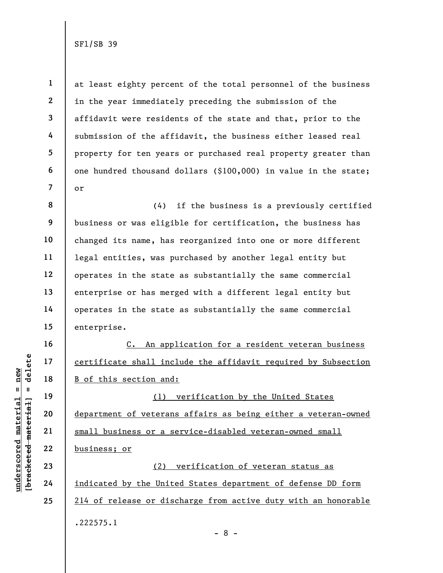1

2

3

4

5

6

7

16

17

18

19

20

21

22

23

24

25

at least eighty percent of the total personnel of the business in the year immediately preceding the submission of the affidavit were residents of the state and that, prior to the submission of the affidavit, the business either leased real property for ten years or purchased real property greater than one hundred thousand dollars (\$100,000) in value in the state; or

8 9 10 11 12 13 14 15 (4) if the business is a previously certified business or was eligible for certification, the business has changed its name, has reorganized into one or more different legal entities, was purchased by another legal entity but operates in the state as substantially the same commercial enterprise or has merged with a different legal entity but operates in the state as substantially the same commercial enterprise.

C. An application for a resident veteran business certificate shall include the affidavit required by Subsection B of this section and:

under 17<br>
= 18<br>
= 18<br>
= 19<br>
= 19<br>
= 19<br>
= 19<br>
= 19<br>
= 19<br>
= 19<br>
= 19<br>
= 19<br>
= 19<br>
= 19<br>
= 19<br>
= 19<br>
= 19<br>
= 19<br>
= 19<br>
= 19<br>
= 19<br>
= 19<br>
= 19<br>
= 19<br>
= 19<br>
= 19<br>
= 19<br>
= 19<br>
= 19<br>
= 19<br>
= 19<br>
= 19<br>
= 19<br>
= 19<br>
= 19<br>
= 19<br>
= (1) verification by the United States department of veterans affairs as being either a veteran-owned small business or a service-disabled veteran-owned small business; or

(2) verification of veteran status as indicated by the United States department of defense DD form 214 of release or discharge from active duty with an honorable .222575.1 - 8 -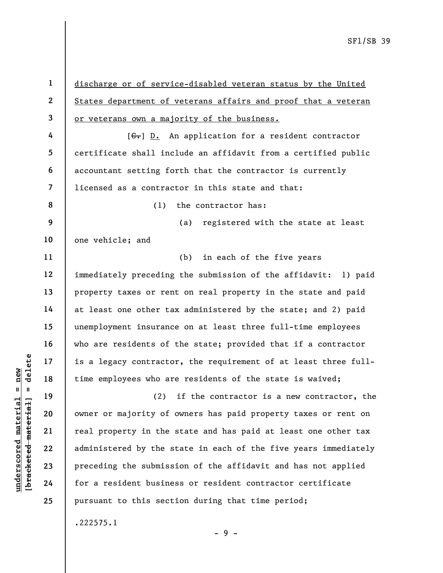under 17 is a legacy contractor<br>  $\begin{array}{c|c|c|c} \hline \text{u} & \text{u} & \text{u} & \text{u} \\ \hline \text{u} & \text{u} & \text{u} & \text{u} \\ \hline \text{u} & \text{u} & \text{u} & \text{u} \\ \hline \text{u} & \text{u} & \text{u} & \text{u} \\ \hline \text{u} & \text{u} & \text{u} & \text{u} \\ \hline \text{u} & \text{u} & \text{u} & \text{u} \\ \hline \text{u} & \text{u$ 3 4 5 6 7 8 9 10 11 12 13 14 15 16 17 18 19 20 21 22 23 24 25

1

2

discharge or of service-disabled veteran status by the United States department of veterans affairs and proof that a veteran or veterans own a majority of the business.

 $[G<sub>1</sub>]$  D. An application for a resident contractor certificate shall include an affidavit from a certified public accountant setting forth that the contractor is currently licensed as a contractor in this state and that:

(1) the contractor has:

(a) registered with the state at least one vehicle; and

(b) in each of the five years immediately preceding the submission of the affidavit: 1) paid property taxes or rent on real property in the state and paid at least one other tax administered by the state; and 2) paid unemployment insurance on at least three full-time employees who are residents of the state; provided that if a contractor is a legacy contractor, the requirement of at least three fulltime employees who are residents of the state is waived;

(2) if the contractor is a new contractor, the owner or majority of owners has paid property taxes or rent on real property in the state and has paid at least one other tax administered by the state in each of the five years immediately preceding the submission of the affidavit and has not applied for a resident business or resident contractor certificate pursuant to this section during that time period;

- 9 -

.222575.1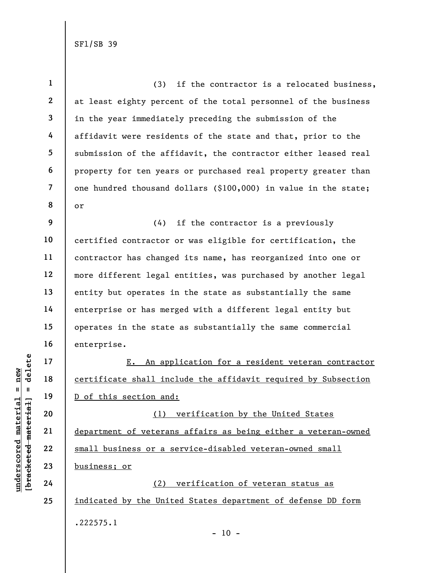|                                            | $\mathbf{1}$   | (3)<br>if the contractor is a relocated business,               |
|--------------------------------------------|----------------|-----------------------------------------------------------------|
|                                            | $\mathbf{2}$   | at least eighty percent of the total personnel of the business  |
|                                            | $\mathbf{3}$   | in the year immediately preceding the submission of the         |
|                                            | 4              | affidavit were residents of the state and that, prior to the    |
|                                            | 5              | submission of the affidavit, the contractor either leased real  |
|                                            | 6              | property for ten years or purchased real property greater than  |
|                                            | $\overline{7}$ | one hundred thousand dollars (\$100,000) in value in the state; |
|                                            | 8              | or                                                              |
|                                            | 9              | (4)<br>if the contractor is a previously                        |
|                                            | 10             | certified contractor or was eligible for certification, the     |
|                                            | 11             | contractor has changed its name, has reorganized into one or    |
|                                            | 12             | more different legal entities, was purchased by another legal   |
|                                            | 13             | entity but operates in the state as substantially the same      |
|                                            | 14             | enterprise or has merged with a different legal entity but      |
|                                            | 15             | operates in the state as substantially the same commercial      |
|                                            | 16             | enterprise.                                                     |
| delete                                     | 17             | An application for a resident veteran contractor<br>E.          |
| new                                        | 18             | certificate shall include the affidavit required by Subsection  |
| II<br>- II                                 | 19             | D of this section and:                                          |
| materia<br>[ <del>bracketed material</del> | 20             | verification by the United States<br>(1)                        |
|                                            | 21             | department of veterans affairs as being either a veteran-owned  |
| underscored                                | 22             | small business or a service-disabled veteran-owned small        |
|                                            | 23             | business; or                                                    |
|                                            | 24             | verification of veteran status as<br>(2)                        |
|                                            | 25             | indicated by the United States department of defense DD form    |
|                                            |                | .222575.1                                                       |

- 10 -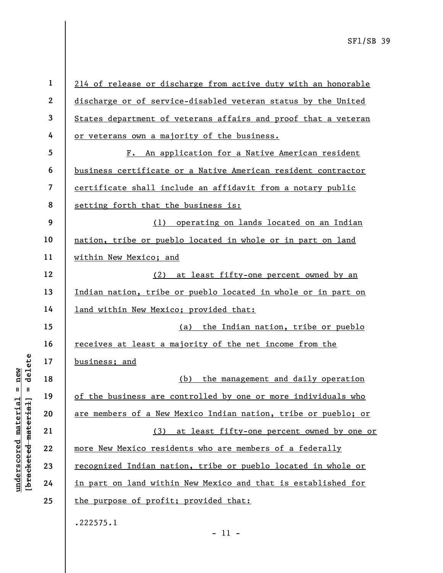|                                            | $\mathbf{1}$            | 214 of release or discharge from active duty with an honorable |
|--------------------------------------------|-------------------------|----------------------------------------------------------------|
|                                            | $\boldsymbol{2}$        | discharge or of service-disabled veteran status by the United  |
|                                            | $\mathbf{3}$            | States department of veterans affairs and proof that a veteran |
|                                            | 4                       | or veterans own a majority of the business.                    |
|                                            | 5                       | An application for a Native American resident<br>$F_{\bullet}$ |
|                                            | 6                       | business certificate or a Native American resident contractor  |
|                                            | $\overline{\mathbf{z}}$ | certificate shall include an affidavit from a notary public    |
|                                            | 8                       | setting forth that the business is:                            |
|                                            | 9                       | operating on lands located on an Indian<br>(1)                 |
|                                            | 10                      | nation, tribe or pueblo located in whole or in part on land    |
|                                            | 11                      | within New Mexico; and                                         |
|                                            | 12                      | at least fifty-one percent owned by an<br>(2)                  |
|                                            | 13                      | Indian nation, tribe or pueblo located in whole or in part on  |
|                                            | 14                      | <u>land within New Mexico; provided that:</u>                  |
|                                            | 15                      | the Indian nation, tribe or pueblo<br>(a)                      |
|                                            | 16                      | <u>receives at least a majority of the net income from the</u> |
| delete                                     | 17                      | business; and                                                  |
| new<br>Ш                                   | 18                      | the management and daily operation<br>(b)                      |
|                                            | 19                      | of the business are controlled by one or more individuals who  |
| underscored materia<br>[bracketed material | 20                      | are members of a New Mexico Indian nation, tribe or pueblo; or |
|                                            | 21                      | at least fifty-one percent owned by one or<br>(3)              |
|                                            | 22                      | more New Mexico residents who are members of a federally       |
|                                            | 23                      | recognized Indian nation, tribe or pueblo located in whole or  |
|                                            | 24                      | in part on land within New Mexico and that is established for  |
|                                            | 25                      | the purpose of profit; provided that:                          |
|                                            |                         | .222575.1                                                      |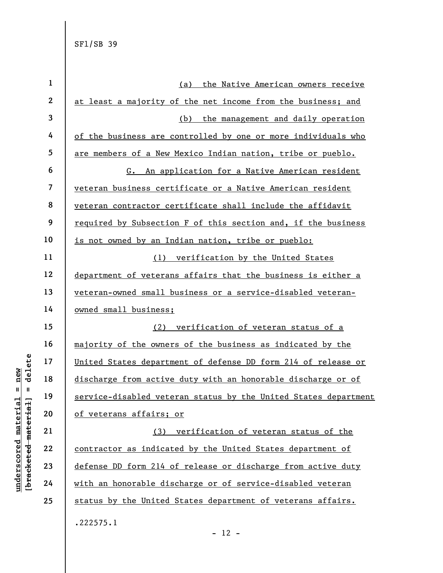| $\mathbf 1$ | the Native American owners receive<br>(a)                       |
|-------------|-----------------------------------------------------------------|
| 2           | at least a majority of the net income from the business; and    |
| 3           | the management and daily operation<br>(b)                       |
| 4           | of the business are controlled by one or more individuals who   |
| 5           | are members of a New Mexico Indian nation, tribe or pueblo.     |
| 6           | An application for a Native American resident<br>G.             |
| 7           | veteran business certificate or a Native American resident      |
| 8           | veteran contractor certificate shall include the affidavit      |
| 9           | required by Subsection F of this section and, if the business   |
| 10          | is not owned by an Indian nation, tribe or pueblo:              |
| 11          | (1)<br>verification by the United States                        |
| 12          | department of veterans affairs that the business is either a    |
| 13          | veteran-owned small business or a service-disabled veteran-     |
|             |                                                                 |
| 14          | owned small business;                                           |
| 15          | verification of veteran status of a<br>(2)                      |
| 16          | majority of the owners of the business as indicated by the      |
| 17          | United States department of defense DD form 214 of release or   |
| 18          | discharge from active duty with an honorable discharge or of    |
| 19          | service-disabled veteran status by the United States department |
| 20          | of veterans affairs; or                                         |
| 21          | verification of veteran status of the<br>(3)                    |
| 22          | contractor as indicated by the United States department of      |
| 23          | defense DD form 214 of release or discharge from active duty    |
| 24          | with an honorable discharge or of service-disabled veteran      |
| 25          | status by the United States department of veterans affairs.     |

 $\frac{\text{underscored material = new}}{\text{beac detected-matter}+\text{d}}$  = delete

- 12 -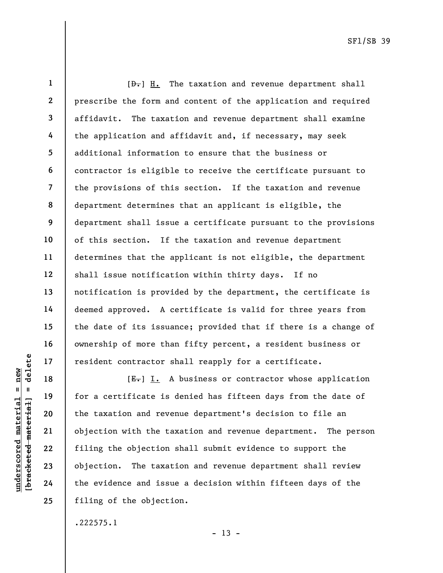1 2 3 4 5 6 7 8 9 10 11 12 13 14 15 16 17  $[\frac{D-1}{2}]$  H. The taxation and revenue department shall prescribe the form and content of the application and required affidavit. The taxation and revenue department shall examine the application and affidavit and, if necessary, may seek additional information to ensure that the business or contractor is eligible to receive the certificate pursuant to the provisions of this section. If the taxation and revenue department determines that an applicant is eligible, the department shall issue a certificate pursuant to the provisions of this section. If the taxation and revenue department determines that the applicant is not eligible, the department shall issue notification within thirty days. If no notification is provided by the department, the certificate is deemed approved. A certificate is valid for three years from the date of its issuance; provided that if there is a change of ownership of more than fifty percent, a resident business or resident contractor shall reapply for a certificate.

understand material material end and the taxation and reverse objection. The taxat<br>gradient contractor s<br>definition of the taxation and reverse objection with the taxation<br>along 22 series objection. The taxat<br>gradient 24 t  $[E-]$  I. A business or contractor whose application for a certificate is denied has fifteen days from the date of the taxation and revenue department's decision to file an objection with the taxation and revenue department. The person filing the objection shall submit evidence to support the objection. The taxation and revenue department shall review the evidence and issue a decision within fifteen days of the filing of the objection.

.222575.1

 $- 13 -$ 

18

19

20

21

22

23

24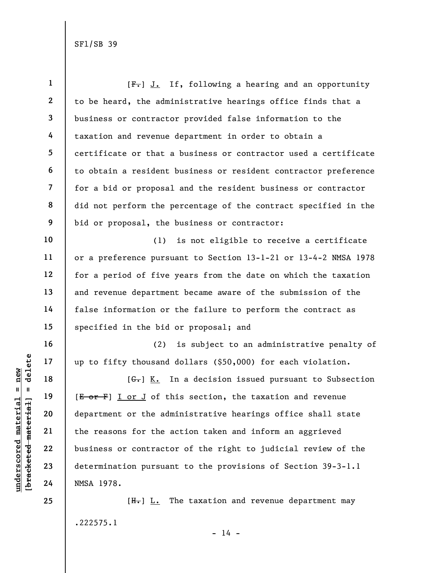| $\mathbf{1}$             | $[F-]$ J. If, following a hearing and an opportunity            |
|--------------------------|-----------------------------------------------------------------|
| $\boldsymbol{2}$         | to be heard, the administrative hearings office finds that a    |
| 3                        | business or contractor provided false information to the        |
| 4                        | taxation and revenue department in order to obtain a            |
| 5                        | certificate or that a business or contractor used a certificate |
| 6                        | to obtain a resident business or resident contractor preference |
| $\overline{\mathcal{L}}$ | for a bid or proposal and the resident business or contractor   |
| 8                        | did not perform the percentage of the contract specified in the |
| 9                        | bid or proposal, the business or contractor:                    |
| 10                       | (1)<br>is not eligible to receive a certificate                 |
| 11                       | or a preference pursuant to Section 13-1-21 or 13-4-2 NMSA 1978 |
| 12                       | for a period of five years from the date on which the taxation  |
| 13                       | and revenue department became aware of the submission of the    |
| 14                       | false information or the failure to perform the contract as     |
| 15                       | specified in the bid or proposal; and                           |
| 16                       | (2) is subject to an administrative penalty of                  |
| 17                       | up to fifty thousand dollars (\$50,000) for each violation.     |
| 18                       | $[\theta], K].$ In a decision issued pursuant to Subsection     |
| 19                       | [E or F] I or J of this section, the taxation and revenue       |
| 20                       | department or the administrative hearings office shall state    |
| 21                       | the reasons for the action taken and inform an aggrieved        |
| 22                       | business or contractor of the right to judicial review of the   |
| 23                       | determination pursuant to the provisions of Section 39-3-1.1    |
| 24                       | NMSA 1978.                                                      |
| 25                       | $[Hz]$ $Lz$ The taxation and revenue department may             |
|                          | .222575.1                                                       |

 $\frac{\text{underscored material = new}}{\text{beac detected-matter}+\text{d}}$  = delete

- 14 -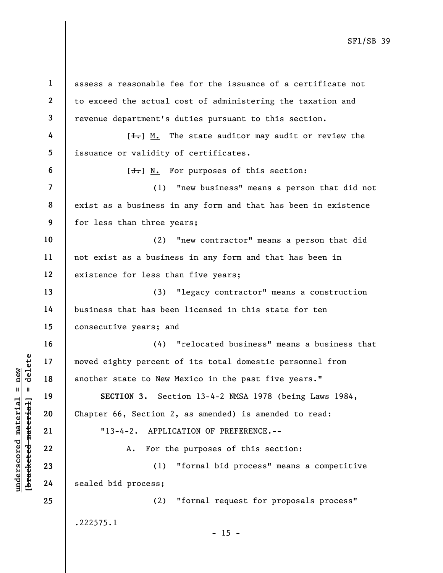underscored material = new [bracketed material] = delete 1 2 3 4 5 6 7 8 9 10 11 12 13 14 15 16 17 18 19 20 21 22 23 24 25 assess a reasonable fee for the issuance of a certificate not to exceed the actual cost of administering the taxation and revenue department's duties pursuant to this section.  $[\frac{1}{\sqrt{1}}]$  M. The state auditor may audit or review the issuance or validity of certificates.  $[\frac{J}{J}]$  N. For purposes of this section: (1) "new business" means a person that did not exist as a business in any form and that has been in existence for less than three years; (2) "new contractor" means a person that did not exist as a business in any form and that has been in existence for less than five years; (3) "legacy contractor" means a construction business that has been licensed in this state for ten consecutive years; and (4) "relocated business" means a business that moved eighty percent of its total domestic personnel from another state to New Mexico in the past five years." SECTION 3. Section 13-4-2 NMSA 1978 (being Laws 1984, Chapter 66, Section 2, as amended) is amended to read: "13-4-2. APPLICATION OF PREFERENCE.-- A. For the purposes of this section: (1) "formal bid process" means a competitive sealed bid process; (2) "formal request for proposals process" .222575.1  $- 15 -$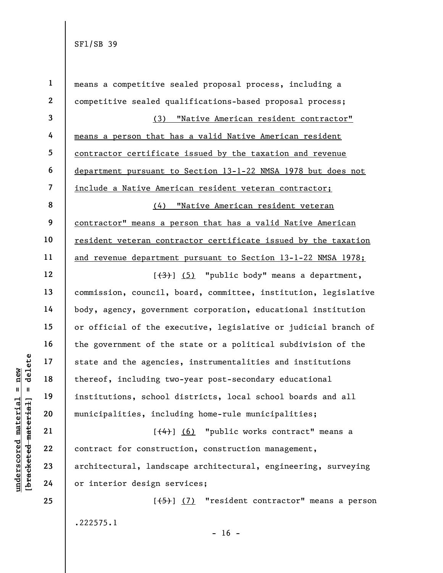|                                                              | $\mathbf{1}$   | means a competitive sealed proposal process, including a                  |
|--------------------------------------------------------------|----------------|---------------------------------------------------------------------------|
|                                                              | $\overline{2}$ | competitive sealed qualifications-based proposal process;                 |
|                                                              | 3              | (3) "Native American resident contractor"                                 |
|                                                              | 4              | means a person that has a valid Native American resident                  |
|                                                              | 5              | contractor certificate issued by the taxation and revenue                 |
|                                                              | 6              | department pursuant to Section 13-1-22 NMSA 1978 but does not             |
|                                                              | $\overline{7}$ | include a Native American resident veteran contractor;                    |
|                                                              | 8              | <u>"Native American resident veteran</u><br>(4)                           |
|                                                              | 9              | contractor" means a person that has a valid Native American               |
|                                                              | 10             | resident veteran contractor certificate issued by the taxation            |
|                                                              | 11             | and revenue department pursuant to Section 13-1-22 NMSA 1978;             |
|                                                              | 12             | $\left[\frac{1}{3}, \frac{1}{2}\right]$ "public body" means a department, |
|                                                              | 13             | commission, council, board, committee, institution, legislative           |
|                                                              | 14             | body, agency, government corporation, educational institution             |
|                                                              | 15             | or official of the executive, legislative or judicial branch of           |
|                                                              | 16             | the government of the state or a political subdivision of the             |
| delete                                                       | 17             | state and the agencies, instrumentalities and institutions                |
| $n$ ew                                                       | 18             | thereof, including two-year post-secondary educational                    |
| Ш<br>Ш                                                       | 19             | institutions, school districts, local school boards and all               |
| material                                                     | 20             | municipalities, including home-rule municipalities;                       |
|                                                              | 21             | $[\frac{(4)}{1}]$ (6) "public works contract" means a                     |
|                                                              | 22             | contract for construction, construction management,                       |
|                                                              | 23             | architectural, landscape architectural, engineering, surveying            |
| [ <del>bracketed material</del> ]<br>$\bm{{\rm underscore}}$ | 24             | or interior design services;                                              |
|                                                              | 25             | $[\frac{1}{5}]$ (7) "resident contractor" means a person                  |
|                                                              |                | .222575.1                                                                 |
|                                                              |                |                                                                           |

- 16 -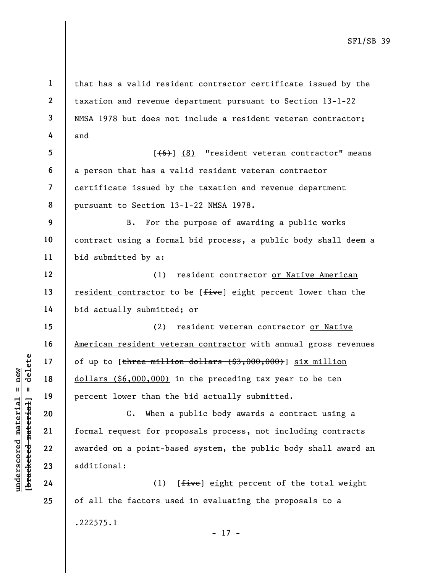understand material of the matchmater of the match of the match of the match of the match of the match of the match of the match of the match of the match of the match of the match of the match of the match of the match of 1 2 3 4 5 6 7 8 9 10 11 12 13 14 15 16 17 18 19 20 21 22 23 24 25 that has a valid resident contractor certificate issued by the taxation and revenue department pursuant to Section 13-1-22 NMSA 1978 but does not include a resident veteran contractor; and  $[ (6) ] (8)$  "resident veteran contractor" means a person that has a valid resident veteran contractor certificate issued by the taxation and revenue department pursuant to Section 13-1-22 NMSA 1978. B. For the purpose of awarding a public works contract using a formal bid process, a public body shall deem a bid submitted by a: (1) resident contractor or Native American resident contractor to be [five] eight percent lower than the bid actually submitted; or (2) resident veteran contractor or Native American resident veteran contractor with annual gross revenues of up to [three million dollars (\$3,000,000)] six million dollars (\$6,000,000) in the preceding tax year to be ten percent lower than the bid actually submitted. C. When a public body awards a contract using a formal request for proposals process, not including contracts awarded on a point-based system, the public body shall award an additional: (1)  $[f_{\text{i}}\text{ve}]$  eight percent of the total weight of all the factors used in evaluating the proposals to a

- 17 -

.222575.1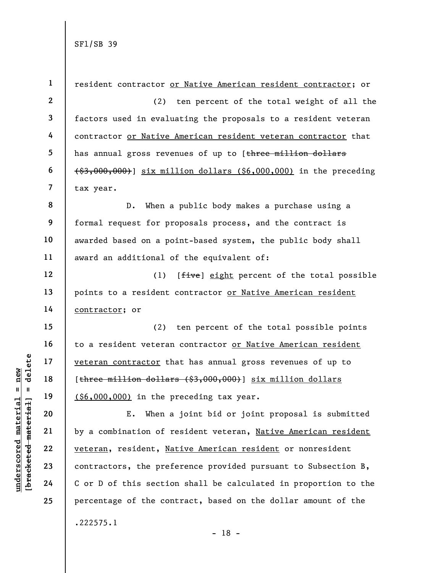understand the preference of the prediction of the prediction of the prediction of the prediction of the prediction of the prediction of the prediction of the prediction of the prediction of the prediction of the predictio 1 2 3 4 5 6 7 8 9 10 11 12 13 14 15 16 17 18 19 20 21 22 23 24 25 resident contractor or Native American resident contractor; or (2) ten percent of the total weight of all the factors used in evaluating the proposals to a resident veteran contractor or Native American resident veteran contractor that has annual gross revenues of up to [three million dollars (\$3,000,000)] six million dollars (\$6,000,000) in the preceding tax year. D. When a public body makes a purchase using a formal request for proposals process, and the contract is awarded based on a point-based system, the public body shall award an additional of the equivalent of: (1) [*five*] eight percent of the total possible points to a resident contractor or Native American resident contractor; or (2) ten percent of the total possible points to a resident veteran contractor or Native American resident veteran contractor that has annual gross revenues of up to [three million dollars (\$3,000,000)] six million dollars (\$6,000,000) in the preceding tax year. E. When a joint bid or joint proposal is submitted by a combination of resident veteran, Native American resident veteran, resident, Native American resident or nonresident contractors, the preference provided pursuant to Subsection B, C or D of this section shall be calculated in proportion to the percentage of the contract, based on the dollar amount of the .222575.1

- 18 -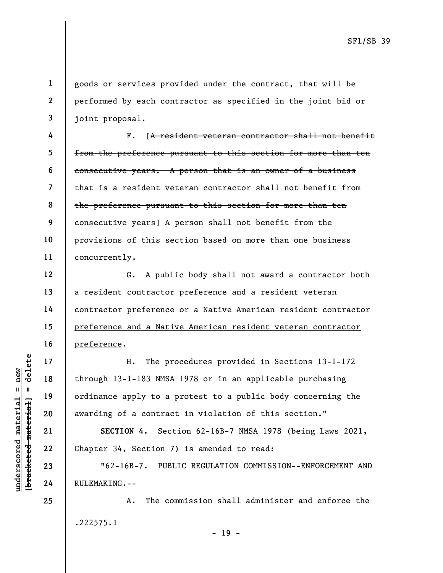goods or services provided under the contract, that will be performed by each contractor as specified in the joint bid or joint proposal.

4 5 6 7 8 9 10 11 F. [A resident veteran contractor shall not benefit from the preference pursuant to this section for more than ten consecutive years. A person that is an owner of a business that is a resident veteran contractor shall not benefit from the preference pursuant to this section for more than ten consecutive years] A person shall not benefit from the provisions of this section based on more than one business concurrently.

G. A public body shall not award a contractor both a resident contractor preference and a resident veteran contractor preference or a Native American resident contractor preference and a Native American resident veteran contractor preference.

underscored material = new [bracketed material] = delete H. The procedures provided in Sections 13-1-172 through 13-1-183 NMSA 1978 or in an applicable purchasing ordinance apply to a protest to a public body concerning the awarding of a contract in violation of this section."

SECTION 4. Section 62-16B-7 NMSA 1978 (being Laws 2021, Chapter 34, Section 7) is amended to read:

"62-16B-7. PUBLIC REGULATION COMMISSION--ENFORCEMENT AND RULEMAKING.--

A. The commission shall administer and enforce the .222575.1 - 19 -

23 24

25

1

2

3

12

13

14

15

16

17

18

19

20

21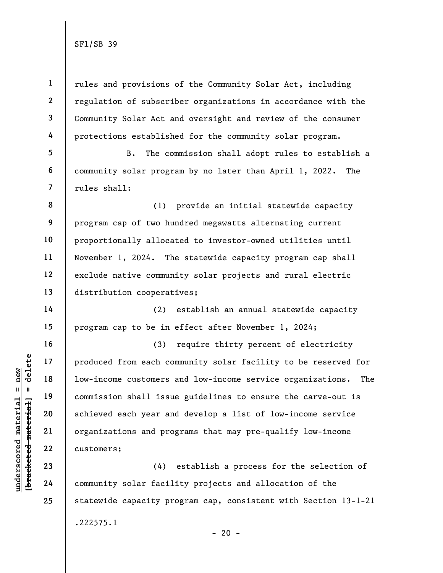1 2 3 4 5 6 7 rules and provisions of the Community Solar Act, including regulation of subscriber organizations in accordance with the Community Solar Act and oversight and review of the consumer protections established for the community solar program. B. The commission shall adopt rules to establish a community solar program by no later than April 1, 2022. The rules shall:

8 9 10 11 12 13 (1) provide an initial statewide capacity program cap of two hundred megawatts alternating current proportionally allocated to investor-owned utilities until November 1, 2024. The statewide capacity program cap shall exclude native community solar projects and rural electric distribution cooperatives;

(2) establish an annual statewide capacity program cap to be in effect after November 1, 2024;

underscored material end of the same of the set of the set of the set of the set of the set of the set of the set of the set of the set of the set of the set of the set of the set of the set of the set of the set of the se (3) require thirty percent of electricity produced from each community solar facility to be reserved for low-income customers and low-income service organizations. The commission shall issue guidelines to ensure the carve-out is achieved each year and develop a list of low-income service organizations and programs that may pre-qualify low-income customers;

(4) establish a process for the selection of community solar facility projects and allocation of the statewide capacity program cap, consistent with Section 13-1-21 .222575.1  $- 20 -$ 

14

15

16

17

18

19

20

21

22

23

24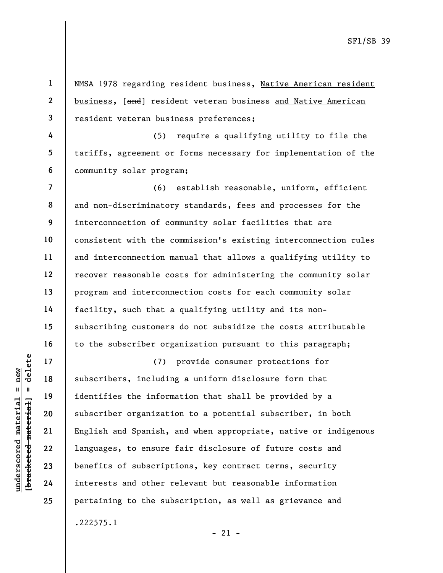1 2 3 NMSA 1978 regarding resident business, Native American resident business, [and] resident veteran business and Native American resident veteran business preferences;

4 5 6 (5) require a qualifying utility to file the tariffs, agreement or forms necessary for implementation of the community solar program;

7 8 9 10 11 12 13 14 15 16 (6) establish reasonable, uniform, efficient and non-discriminatory standards, fees and processes for the interconnection of community solar facilities that are consistent with the commission's existing interconnection rules and interconnection manual that allows a qualifying utility to recover reasonable costs for administering the community solar program and interconnection costs for each community solar facility, such that a qualifying utility and its nonsubscribing customers do not subsidize the costs attributable to the subscriber organization pursuant to this paragraph;

understand of the material of the subscribers including<br>
understand material subscribers including<br>
understand of the inform<br>
the subscriber organization<br>
21 English and Spanish,<br>
1 anguages, to ensure<br>
24 interests and ot (7) provide consumer protections for subscribers, including a uniform disclosure form that identifies the information that shall be provided by a subscriber organization to a potential subscriber, in both English and Spanish, and when appropriate, native or indigenous languages, to ensure fair disclosure of future costs and benefits of subscriptions, key contract terms, security interests and other relevant but reasonable information pertaining to the subscription, as well as grievance and .222575.1

 $-21 -$ 

17

18

19

20

21

22

23

24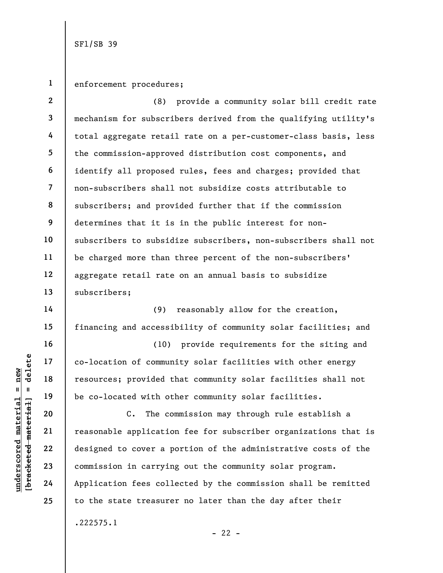1 enforcement procedures;

2 3 4 5 6 7 8 9 10 11 12 13 (8) provide a community solar bill credit rate mechanism for subscribers derived from the qualifying utility's total aggregate retail rate on a per-customer-class basis, less the commission-approved distribution cost components, and identify all proposed rules, fees and charges; provided that non-subscribers shall not subsidize costs attributable to subscribers; and provided further that if the commission determines that it is in the public interest for nonsubscribers to subsidize subscribers, non-subscribers shall not be charged more than three percent of the non-subscribers' aggregate retail rate on an annual basis to subsidize subscribers;

(9) reasonably allow for the creation, financing and accessibility of community solar facilities; and

(10) provide requirements for the siting and co-location of community solar facilities with other energy resources; provided that community solar facilities shall not be co-located with other community solar facilities.

understand to correction of community of the detailed material of the co-located with other and the co-located with other and the co-located with other and the co-located with other and the co-located with other and the co C. The commission may through rule establish a reasonable application fee for subscriber organizations that is designed to cover a portion of the administrative costs of the commission in carrying out the community solar program. Application fees collected by the commission shall be remitted to the state treasurer no later than the day after their .222575.1

 $- 22 -$ 

14

15

16

17

18

19

20

21

22

23

24